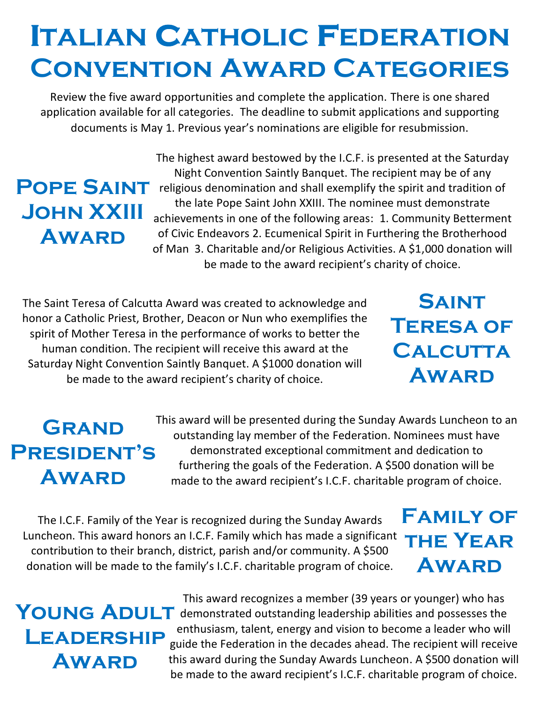# **Italian Catholic Federation Convention Award Categories**

Review the five award opportunities and complete the application. There is one shared application available for all categories. The deadline to submit applications and supporting documents is May 1. Previous year's nominations are eligible for resubmission.

## **Pope Saint John XXIII Award**

The highest award bestowed by the I.C.F. is presented at the Saturday Night Convention Saintly Banquet. The recipient may be of any religious denomination and shall exemplify the spirit and tradition of the late Pope Saint John XXIII. The nominee must demonstrate achievements in one of the following areas: 1. Community Betterment of Civic Endeavors 2. Ecumenical Spirit in Furthering the Brotherhood of Man 3. Charitable and/or Religious Activities. A \$1,000 donation will be made to the award recipient's charity of choice.

The Saint Teresa of Calcutta Award was created to acknowledge and honor a Catholic Priest, Brother, Deacon or Nun who exemplifies the spirit of Mother Teresa in the performance of works to better the human condition. The recipient will receive this award at the Saturday Night Convention Saintly Banquet. A \$1000 donation will be made to the award recipient's charity of choice.

## **Grand President's Award**

This award will be presented during the Sunday Awards Luncheon to an outstanding lay member of the Federation. Nominees must have demonstrated exceptional commitment and dedication to furthering the goals of the Federation. A \$500 donation will be made to the award recipient's I.C.F. charitable program of choice.

The I.C.F. Family of the Year is recognized during the Sunday Awards Luncheon. This award honors an I.C.F. Family which has made a significant contribution to their branch, district, parish and/or community. A \$500 donation will be made to the family's I.C.F. charitable program of choice.

### **Family of the Year Award**

**Saint** 

**Teresa of** 

**Calcutta**

**Award**

# **Leadership Award**

This award recognizes a member (39 years or younger) who has inis award recognizes a member (39 years or younger) who has<br>**YOUNG ADULT** demonstrated outstanding leadership abilities and possesses the enthusiasm, talent, energy and vision to become a leader who will guide the Federation in the decades ahead. The recipient will receive this award during the Sunday Awards Luncheon. A \$500 donation will be made to the award recipient's I.C.F. charitable program of choice.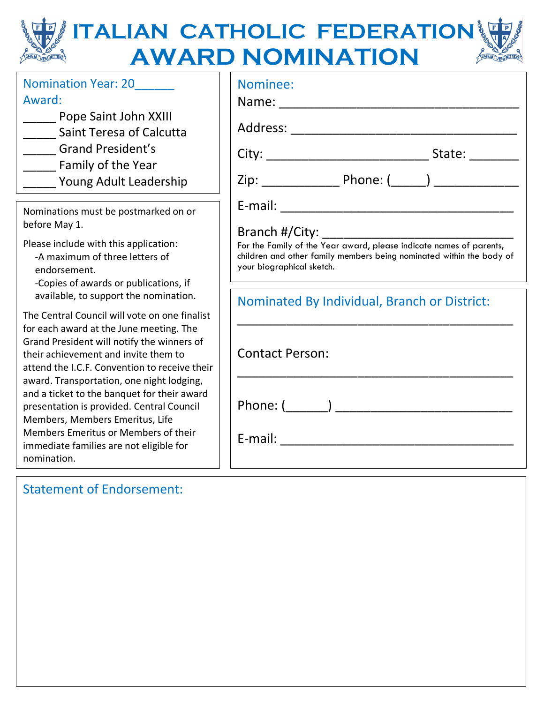#### **ITALIAN CATHOLIC FEDERATION AWARD NOMINATION** FONEW VENILLER FONEW VENIMITED

| <b>Nomination Year: 20</b>                                                                                                                                                     | Nominee:                                                                                                                                                                 |
|--------------------------------------------------------------------------------------------------------------------------------------------------------------------------------|--------------------------------------------------------------------------------------------------------------------------------------------------------------------------|
| Award:                                                                                                                                                                         |                                                                                                                                                                          |
| Pope Saint John XXIII<br>_______ Saint Teresa of Calcutta                                                                                                                      |                                                                                                                                                                          |
| Grand President's                                                                                                                                                              |                                                                                                                                                                          |
| ______ Family of the Year                                                                                                                                                      |                                                                                                                                                                          |
| ______ Young Adult Leadership                                                                                                                                                  |                                                                                                                                                                          |
| Nominations must be postmarked on or<br>before May 1.                                                                                                                          |                                                                                                                                                                          |
|                                                                                                                                                                                |                                                                                                                                                                          |
| Please include with this application:<br>-A maximum of three letters of<br>endorsement.<br>-Copies of awards or publications, if                                               | For the Family of the Year award, please indicate names of parents,<br>children and other family members being nominated within the body of<br>your biographical sketch. |
| available, to support the nomination.                                                                                                                                          | Nominated By Individual, Branch or District:                                                                                                                             |
| The Central Council will vote on one finalist                                                                                                                                  |                                                                                                                                                                          |
| for each award at the June meeting. The<br>Grand President will notify the winners of<br>their achievement and invite them to<br>attend the I.C.F. Convention to receive their | <b>Contact Person:</b>                                                                                                                                                   |
| award. Transportation, one night lodging,<br>and a ticket to the banquet for their award<br>presentation is provided. Central Council<br>Members, Members Emeritus, Life       |                                                                                                                                                                          |
| Members Emeritus or Members of their<br>immediate families are not eligible for<br>nomination.                                                                                 |                                                                                                                                                                          |
|                                                                                                                                                                                |                                                                                                                                                                          |

### Statement of Endorsement: